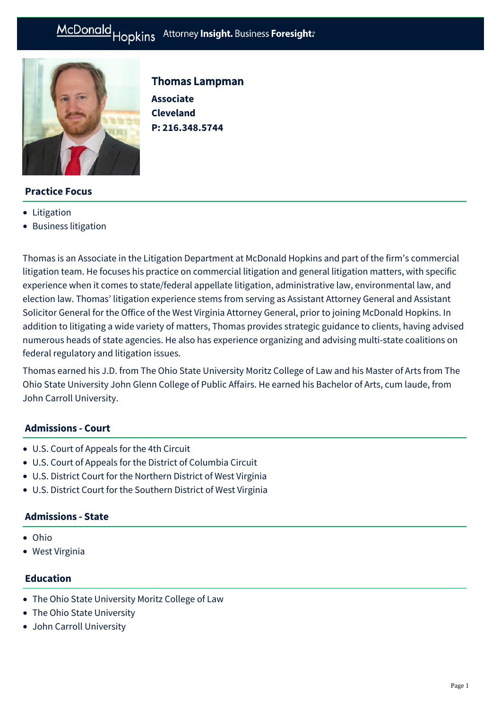

Thomas Lampman **Associate Cleveland P: [216.348.5744](tel:216.348.5744)**

# **Practice Focus**

- [Litigation](https://mcdonaldhopkins.com/Expertise/Litigation)
- [Business litigation](https://mcdonaldhopkins.com/Expertise/Litigation/Business-litigation)

Thomas is an Associate in the Litigation Department at McDonald Hopkins and part of the firm's commercial litigation team. He focuses his practice on commercial litigation and general litigation matters, with specific experience when it comes to state/federal appellate litigation, administrative law, environmental law, and election law. Thomas' litigation experience stems from serving as Assistant Attorney General and Assistant Solicitor General for the Office of the West Virginia Attorney General, prior to joining McDonald Hopkins. In addition to litigating a wide variety of matters, Thomas provides strategic guidance to clients, having advised numerous heads of state agencies. He also has experience organizing and advising multi-state coalitions on federal regulatory and litigation issues.

Thomas earned his J.D. from The Ohio State University Moritz College of Law and his Master of Arts from The Ohio State University John Glenn College of Public Affairs. He earned his Bachelor of Arts, cum laude, from John Carroll University.

# **Admissions - Court**

- U.S. Court of Appeals for the 4th Circuit
- U.S. Court of Appeals for the District of Columbia Circuit
- U.S. District Court for the Northern District of West Virginia
- U.S. District Court for the Southern District of West Virginia

### **Admissions - State**

- Ohio
- West Virginia

### **Education**

- The Ohio State University Moritz College of Law
- The Ohio State University
- John Carroll University